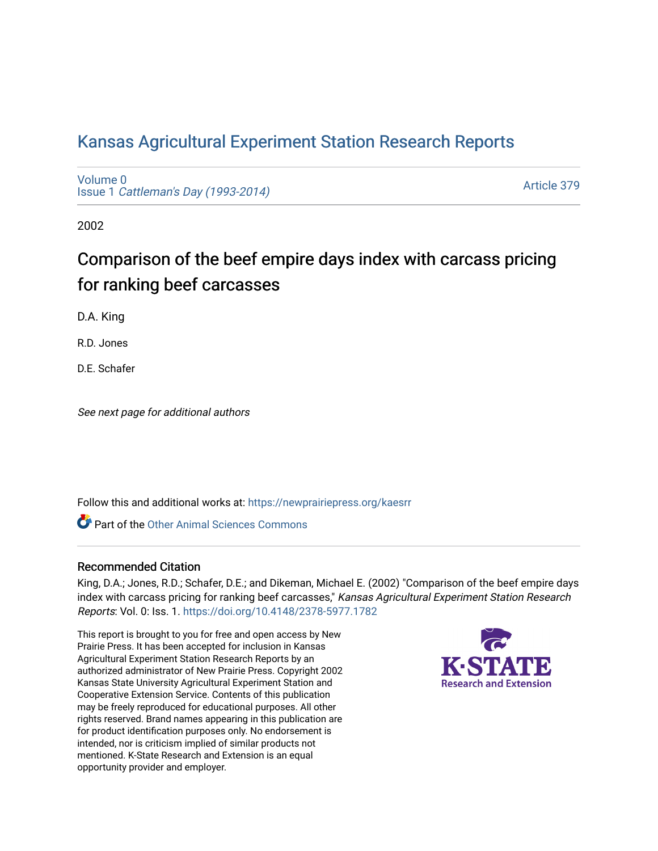# [Kansas Agricultural Experiment Station Research Reports](https://newprairiepress.org/kaesrr)

[Volume 0](https://newprairiepress.org/kaesrr/vol0) Issue 1 [Cattleman's Day \(1993-2014\)](https://newprairiepress.org/kaesrr/vol0/iss1) 

[Article 379](https://newprairiepress.org/kaesrr/vol0/iss1/379) 

2002

# Comparison of the beef empire days index with carcass pricing for ranking beef carcasses

D.A. King

R.D. Jones

D.E. Schafer

See next page for additional authors

Follow this and additional works at: [https://newprairiepress.org/kaesrr](https://newprairiepress.org/kaesrr?utm_source=newprairiepress.org%2Fkaesrr%2Fvol0%2Fiss1%2F379&utm_medium=PDF&utm_campaign=PDFCoverPages) 

**C** Part of the [Other Animal Sciences Commons](http://network.bepress.com/hgg/discipline/82?utm_source=newprairiepress.org%2Fkaesrr%2Fvol0%2Fiss1%2F379&utm_medium=PDF&utm_campaign=PDFCoverPages)

# Recommended Citation

King, D.A.; Jones, R.D.; Schafer, D.E.; and Dikeman, Michael E. (2002) "Comparison of the beef empire days index with carcass pricing for ranking beef carcasses," Kansas Agricultural Experiment Station Research Reports: Vol. 0: Iss. 1.<https://doi.org/10.4148/2378-5977.1782>

This report is brought to you for free and open access by New Prairie Press. It has been accepted for inclusion in Kansas Agricultural Experiment Station Research Reports by an authorized administrator of New Prairie Press. Copyright 2002 Kansas State University Agricultural Experiment Station and Cooperative Extension Service. Contents of this publication may be freely reproduced for educational purposes. All other rights reserved. Brand names appearing in this publication are for product identification purposes only. No endorsement is intended, nor is criticism implied of similar products not mentioned. K-State Research and Extension is an equal opportunity provider and employer.

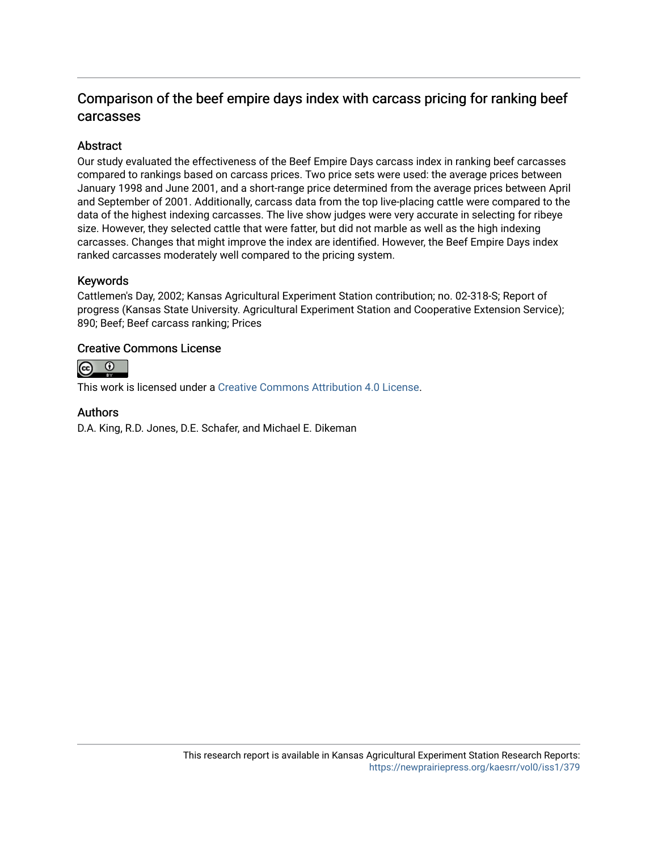# Comparison of the beef empire days index with carcass pricing for ranking beef carcasses

# **Abstract**

Our study evaluated the effectiveness of the Beef Empire Days carcass index in ranking beef carcasses compared to rankings based on carcass prices. Two price sets were used: the average prices between January 1998 and June 2001, and a short-range price determined from the average prices between April and September of 2001. Additionally, carcass data from the top live-placing cattle were compared to the data of the highest indexing carcasses. The live show judges were very accurate in selecting for ribeye size. However, they selected cattle that were fatter, but did not marble as well as the high indexing carcasses. Changes that might improve the index are identified. However, the Beef Empire Days index ranked carcasses moderately well compared to the pricing system.

#### Keywords

Cattlemen's Day, 2002; Kansas Agricultural Experiment Station contribution; no. 02-318-S; Report of progress (Kansas State University. Agricultural Experiment Station and Cooperative Extension Service); 890; Beef; Beef carcass ranking; Prices

#### Creative Commons License



This work is licensed under a [Creative Commons Attribution 4.0 License](https://creativecommons.org/licenses/by/4.0/).

#### Authors

D.A. King, R.D. Jones, D.E. Schafer, and Michael E. Dikeman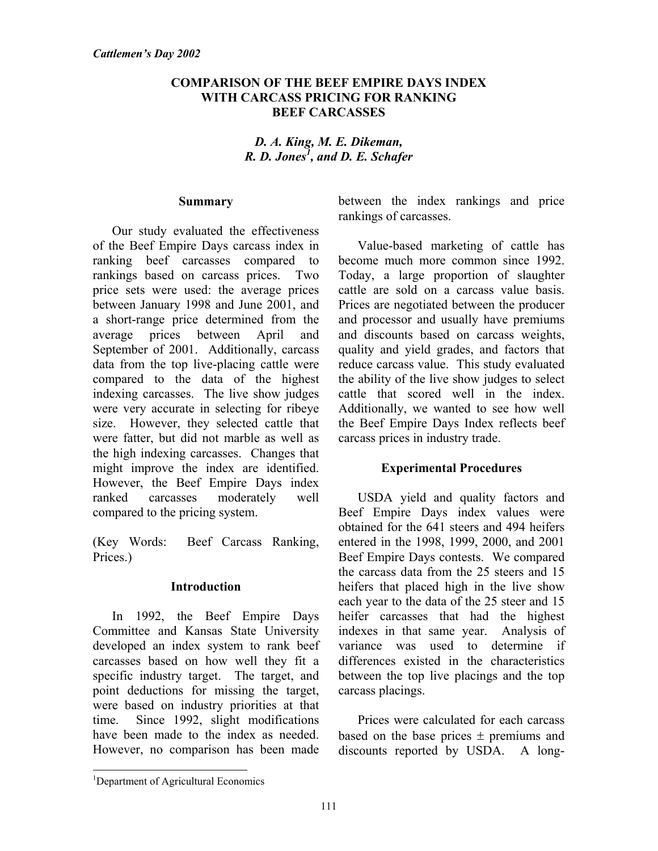# **COMPARISON OF THE BEEF EMPIRE DAYS INDEX WITH CARCASS PRICING FOR RANKING BEEF CARCASSES**

# *D. A. King, M. E. Dikeman, R. D. Jones1 , and D. E. Schafer*

#### **Summary**

 Our study evaluated the effectiveness of the Beef Empire Days carcass index in ranking beef carcasses compared to rankings based on carcass prices. Two price sets were used: the average prices between January 1998 and June 2001, and a short-range price determined from the average prices between April and September of 2001. Additionally, carcass data from the top live-placing cattle were compared to the data of the highest indexing carcasses. The live show judges were very accurate in selecting for ribeye size. However, they selected cattle that were fatter, but did not marble as well as the high indexing carcasses. Changes that might improve the index are identified. However, the Beef Empire Days index ranked carcasses moderately well compared to the pricing system.

(Key Words: Beef Carcass Ranking, Prices.)

# **Introduction**

 In 1992, the Beef Empire Days Committee and Kansas State University developed an index system to rank beef carcasses based on how well they fit a specific industry target. The target, and point deductions for missing the target, were based on industry priorities at that time. Since 1992, slight modifications have been made to the index as needed. However, no comparison has been made

between the index rankings and price rankings of carcasses.

 Value-based marketing of cattle has become much more common since 1992. Today, a large proportion of slaughter cattle are sold on a carcass value basis. Prices are negotiated between the producer and processor and usually have premiums and discounts based on carcass weights, quality and yield grades, and factors that reduce carcass value. This study evaluated the ability of the live show judges to select cattle that scored well in the index. Additionally, we wanted to see how well the Beef Empire Days Index reflects beef carcass prices in industry trade.

# **Experimental Procedures**

 USDA yield and quality factors and Beef Empire Days index values were obtained for the 641 steers and 494 heifers entered in the 1998, 1999, 2000, and 2001 Beef Empire Days contests. We compared the carcass data from the 25 steers and 15 heifers that placed high in the live show each year to the data of the 25 steer and 15 heifer carcasses that had the highest indexes in that same year. Analysis of variance was used to determine if differences existed in the characteristics between the top live placings and the top carcass placings.

Prices were calculated for each carcass based on the base prices  $\pm$  premiums and discounts reported by USDA. A long-

 1 Department of Agricultural Economics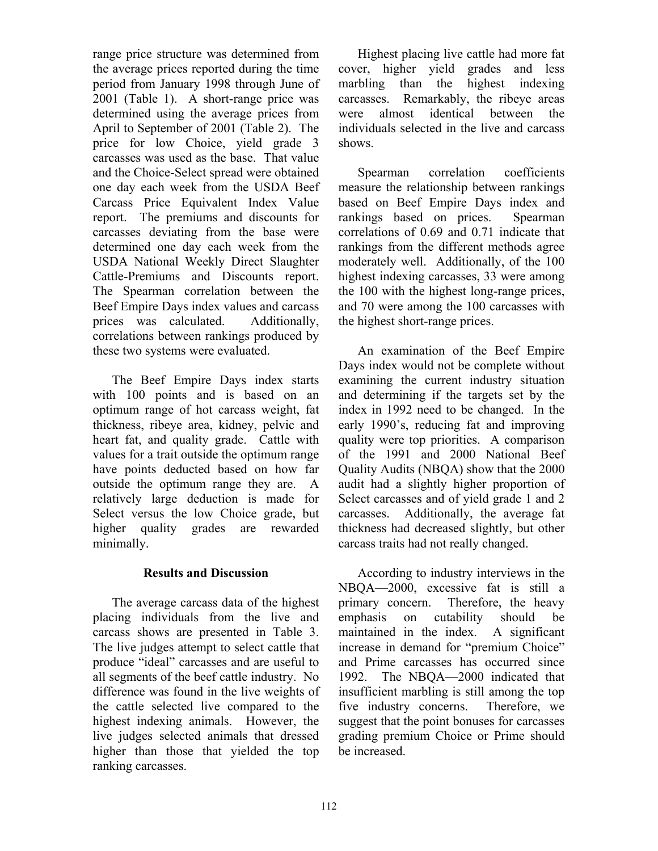range price structure was determined from the average prices reported during the time period from January 1998 through June of 2001 (Table 1). A short-range price was determined using the average prices from April to September of 2001 (Table 2). The price for low Choice, yield grade 3 carcasses was used as the base. That value and the Choice-Select spread were obtained one day each week from the USDA Beef Carcass Price Equivalent Index Value report. The premiums and discounts for carcasses deviating from the base were determined one day each week from the USDA National Weekly Direct Slaughter Cattle-Premiums and Discounts report. The Spearman correlation between the Beef Empire Days index values and carcass prices was calculated. Additionally, correlations between rankings produced by these two systems were evaluated.

 The Beef Empire Days index starts with 100 points and is based on an optimum range of hot carcass weight, fat thickness, ribeye area, kidney, pelvic and heart fat, and quality grade. Cattle with values for a trait outside the optimum range have points deducted based on how far outside the optimum range they are. A relatively large deduction is made for Select versus the low Choice grade, but higher quality grades are rewarded minimally.

# **Results and Discussion**

 The average carcass data of the highest placing individuals from the live and carcass shows are presented in Table 3. The live judges attempt to select cattle that produce "ideal" carcasses and are useful to all segments of the beef cattle industry. No difference was found in the live weights of the cattle selected live compared to the highest indexing animals. However, the live judges selected animals that dressed higher than those that yielded the top ranking carcasses.

 Highest placing live cattle had more fat cover, higher yield grades and less marbling than the highest indexing carcasses. Remarkably, the ribeye areas were almost identical between the individuals selected in the live and carcass shows.

 Spearman correlation coefficients measure the relationship between rankings based on Beef Empire Days index and rankings based on prices. Spearman correlations of 0.69 and 0.71 indicate that rankings from the different methods agree moderately well. Additionally, of the 100 highest indexing carcasses, 33 were among the 100 with the highest long-range prices, and 70 were among the 100 carcasses with the highest short-range prices.

 An examination of the Beef Empire Days index would not be complete without examining the current industry situation and determining if the targets set by the index in 1992 need to be changed. In the early 1990's, reducing fat and improving quality were top priorities. A comparison of the 1991 and 2000 National Beef Quality Audits (NBQA) show that the 2000 audit had a slightly higher proportion of Select carcasses and of yield grade 1 and 2 carcasses. Additionally, the average fat thickness had decreased slightly, but other carcass traits had not really changed.

 According to industry interviews in the NBQA—2000, excessive fat is still a primary concern. Therefore, the heavy emphasis on cutability should be maintained in the index. A significant increase in demand for "premium Choice" and Prime carcasses has occurred since 1992. The NBQA—2000 indicated that insufficient marbling is still among the top five industry concerns. Therefore, we suggest that the point bonuses for carcasses grading premium Choice or Prime should be increased.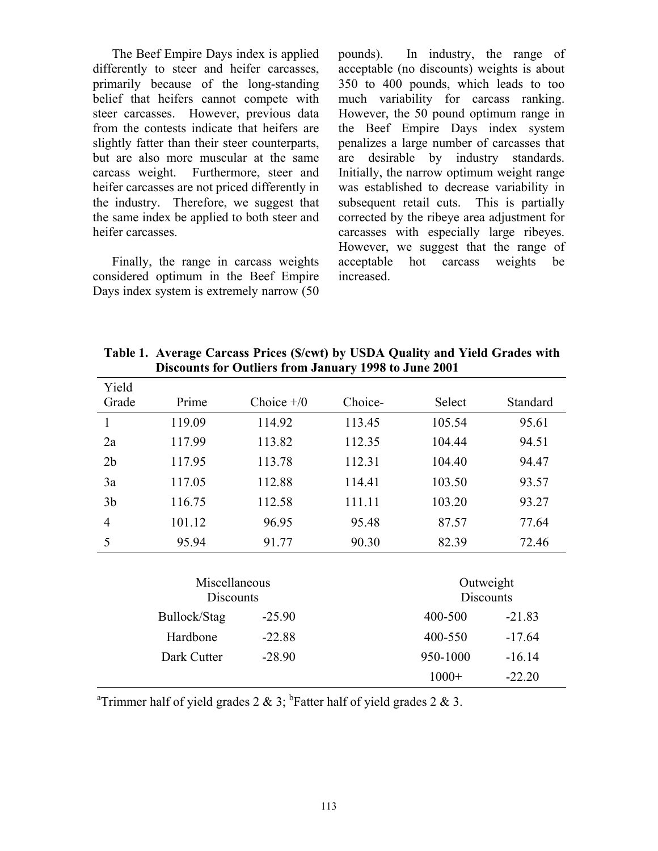The Beef Empire Days index is applied differently to steer and heifer carcasses, primarily because of the long-standing belief that heifers cannot compete with steer carcasses. However, previous data from the contests indicate that heifers are slightly fatter than their steer counterparts, but are also more muscular at the same carcass weight. Furthermore, steer and heifer carcasses are not priced differently in the industry. Therefore, we suggest that the same index be applied to both steer and heifer carcasses.

 Finally, the range in carcass weights considered optimum in the Beef Empire Days index system is extremely narrow (50 pounds). In industry, the range of acceptable (no discounts) weights is about 350 to 400 pounds, which leads to too much variability for carcass ranking. However, the 50 pound optimum range in the Beef Empire Days index system penalizes a large number of carcasses that are desirable by industry standards. Initially, the narrow optimum weight range was established to decrease variability in subsequent retail cuts. This is partially corrected by the ribeye area adjustment for carcasses with especially large ribeyes. However, we suggest that the range of acceptable hot carcass weights be increased.

| Yield                             |              |              |                               |          |          |
|-----------------------------------|--------------|--------------|-------------------------------|----------|----------|
| Grade                             | Prime        | Choice $+/0$ | Choice-                       | Select   | Standard |
| $\mathbf{1}$                      | 119.09       | 114.92       | 113.45                        | 105.54   | 95.61    |
| 2a                                | 117.99       | 113.82       | 112.35                        | 104.44   | 94.51    |
| 2 <sub>b</sub>                    | 117.95       | 113.78       | 112.31                        | 104.40   | 94.47    |
| 3a                                | 117.05       | 112.88       | 114.41                        | 103.50   | 93.57    |
| 3 <sub>b</sub>                    | 116.75       | 112.58       | 111.11                        | 103.20   | 93.27    |
| $\overline{4}$                    | 101.12       | 96.95        | 95.48                         | 87.57    | 77.64    |
| 5                                 | 95.94        | 91.77        | 90.30                         | 82.39    | 72.46    |
| Miscellaneous<br><b>Discounts</b> |              |              | Outweight<br><b>Discounts</b> |          |          |
|                                   | Bullock/Stag | $-25.90$     |                               | 400-500  | $-21.83$ |
|                                   | Hardbone     | $-22.88$     |                               | 400-550  | $-17.64$ |
|                                   | Dark Cutter  | $-28.90$     |                               | 950-1000 | $-16.14$ |
|                                   |              |              |                               | $1000+$  | $-22.20$ |

**Table 1. Average Carcass Prices (\$/cwt) by USDA Quality and Yield Grades with Discounts for Outliers from January 1998 to June 2001** 

<sup>a</sup>Trimmer half of yield grades 2 & 3; <sup>b</sup>Fatter half of yield grades 2 & 3.